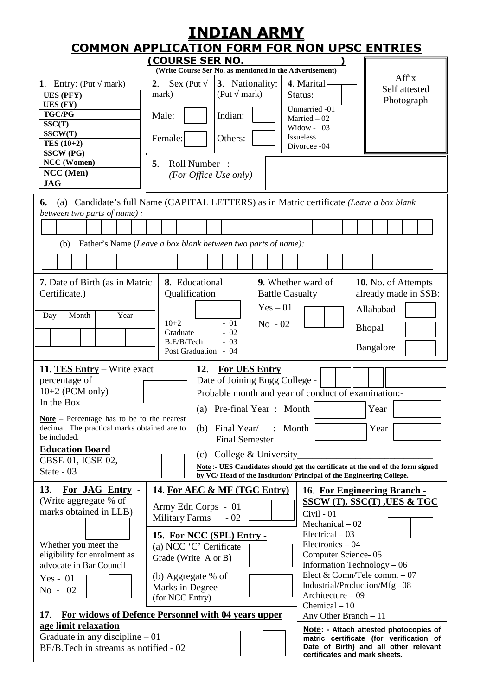| <u>INDIAN ARMY</u><br><b>COMMON APPLICATION FORM FOR NON UPSC ENTRIES</b>                                                                                                                                                                                                                                                                                                                                                                                                                                                                                                                                                                                                                               |                                                                                                                                                                                          |                                                                                                                 |                                                                                                                                                                                                                                                                 |                                                                                                                            |  |  |  |
|---------------------------------------------------------------------------------------------------------------------------------------------------------------------------------------------------------------------------------------------------------------------------------------------------------------------------------------------------------------------------------------------------------------------------------------------------------------------------------------------------------------------------------------------------------------------------------------------------------------------------------------------------------------------------------------------------------|------------------------------------------------------------------------------------------------------------------------------------------------------------------------------------------|-----------------------------------------------------------------------------------------------------------------|-----------------------------------------------------------------------------------------------------------------------------------------------------------------------------------------------------------------------------------------------------------------|----------------------------------------------------------------------------------------------------------------------------|--|--|--|
| (COURSE SER NO.                                                                                                                                                                                                                                                                                                                                                                                                                                                                                                                                                                                                                                                                                         |                                                                                                                                                                                          |                                                                                                                 |                                                                                                                                                                                                                                                                 |                                                                                                                            |  |  |  |
| 1. Entry: $(Put$<br>mark)<br><b>UES (PFY)</b><br>UES (FY)<br><b>TGC/PG</b><br>SSC(T)<br>SSCW(T)<br>TES $(10+2)$<br>$\overline{\text{SSCW}}$ (PG)                                                                                                                                                                                                                                                                                                                                                                                                                                                                                                                                                        | 2.<br>Sex (Put<br>mark)<br>Male:<br>Female:                                                                                                                                              | (Write Course Ser No. as mentioned in the Advertisement)<br>3. Nationality:<br>(Put mark)<br>Indian:<br>Others: | 4. Marital<br>Status:<br>Unmarried -01<br>Married $-02$<br>Widow - $03$<br>Issueless<br>Divorcee -04                                                                                                                                                            | Affix<br>Self attested<br>Photograph                                                                                       |  |  |  |
| NCC (Women)<br>NCC (Men)<br><b>JAG</b>                                                                                                                                                                                                                                                                                                                                                                                                                                                                                                                                                                                                                                                                  | Roll Number:<br>5.<br>(For Office Use only)                                                                                                                                              |                                                                                                                 |                                                                                                                                                                                                                                                                 |                                                                                                                            |  |  |  |
| (a) Candidate's full Name (CAPITAL LETTERS) as in Matric certificate (Leave a box blank<br>6.<br>between two parts of name) :<br>Father's Name (Leave a box blank between two parts of name):<br>(b)                                                                                                                                                                                                                                                                                                                                                                                                                                                                                                    |                                                                                                                                                                                          |                                                                                                                 |                                                                                                                                                                                                                                                                 |                                                                                                                            |  |  |  |
|                                                                                                                                                                                                                                                                                                                                                                                                                                                                                                                                                                                                                                                                                                         |                                                                                                                                                                                          |                                                                                                                 |                                                                                                                                                                                                                                                                 |                                                                                                                            |  |  |  |
| 7. Date of Birth (as in Matric<br>Certificate.)<br>Year<br>Month<br>Day                                                                                                                                                                                                                                                                                                                                                                                                                                                                                                                                                                                                                                 | 8. Educational<br>Qualification<br>$10+2$<br>Graduate<br>B.E/B/Tech<br>Post Graduation - 04                                                                                              | $Yes - 01$<br>$-01$<br>$No - 02$<br>$-02$<br>$-03$                                                              | 9. Whether ward of<br><b>Battle Casualty</b>                                                                                                                                                                                                                    | 10. No. of Attempts<br>already made in SSB:<br>Allahabad<br><b>Bhopal</b><br>Bangalore                                     |  |  |  |
| 11. TES Entry – Write exact<br><b>For UES Entry</b><br>12.<br>Date of Joining Engg College -<br>percentage of<br>$10+2$ (PCM only)<br>Probable month and year of conduct of examination:-<br>In the Box<br>Year<br>Pre-final Year: Month<br>(a)<br>$Note$ – Percentage has to be to the nearest<br>decimal. The practical marks obtained are to<br>Final Year/<br>Month<br>(b)<br>Year<br>$\ddot{\cdot}$<br>be included.<br><b>Final Semester</b><br><b>Education Board</b><br>College & University<br>(c)<br>CBSE-01, ICSE-02,<br>Note: - UES Candidates should get the certificate at the end of the form signed<br>State - 03<br>by VC/Head of the Institution/Principal of the Engineering College. |                                                                                                                                                                                          |                                                                                                                 |                                                                                                                                                                                                                                                                 |                                                                                                                            |  |  |  |
| 13.<br>For JAG Entry -<br>(Write aggregate % of<br>marks obtained in LLB)<br>Whether you meet the<br>eligibility for enrolment as<br>advocate in Bar Council<br>Yes - $01$<br>No - 02<br>For widows of Defence Personnel with 04 years upper<br>17.                                                                                                                                                                                                                                                                                                                                                                                                                                                     | Army Edn Corps - 01<br><b>Military Farms</b><br>15. For NCC (SPL) Entry -<br>(a) NCC 'C' Certificate<br>Grade (Write A or B)<br>(b) Aggregate % of<br>Marks in Degree<br>(for NCC Entry) | 14. For AEC & MF (TGC Entry)<br>$-02$                                                                           | Civil - 01<br>$Mechanical - 02$<br>$Electrical - 03$<br>$Electronic - 04$<br>Computer Science-05<br>Information Technology - 06<br>Elect & Comn/Tele comm. - 07<br>Industrial/Production/Mfg-08<br>Architecture - 09<br>Chemical $-10$<br>Any Other Branch - 11 | 16. For Engineering Branch -<br><u>SSCW (T), SSC(T) ,UES &amp; TGC</u>                                                     |  |  |  |
| age limit relaxation<br>Graduate in any discipline $-01$<br>BE/B.Tech in streams as notified - 02                                                                                                                                                                                                                                                                                                                                                                                                                                                                                                                                                                                                       |                                                                                                                                                                                          |                                                                                                                 | certificates and mark sheets.                                                                                                                                                                                                                                   | Note: - Attach attested photocopies of<br>matric certificate (for verification of<br>Date of Birth) and all other relevant |  |  |  |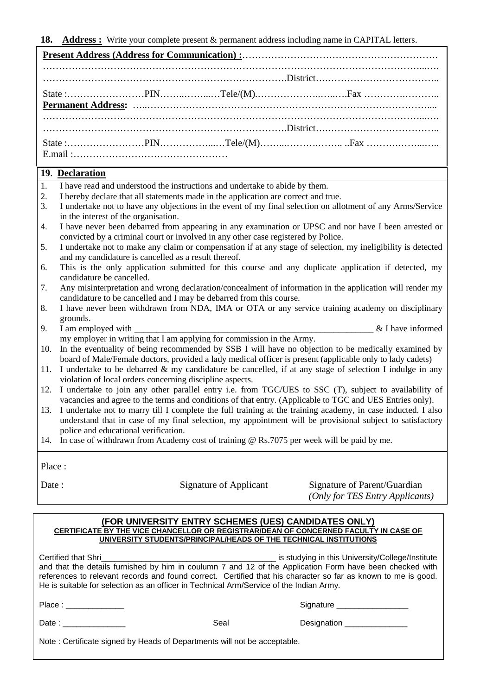**18. Address :** Write your complete present & permanent address including name in CAPITAL letters.

## **19**. **Declaration**

- 1. I have read and understood the instructions and undertake to abide by them.
- 2. I hereby declare that all statements made in the application are correct and true.
- 3. I undertake not to have any objections in the event of my final selection on allotment of any Arms/Service in the interest of the organisation.
- 4. I have never been debarred from appearing in any examination or UPSC and nor have I been arrested or convicted by a criminal court or involved in any other case registered by Police.
- 5. I undertake not to make any claim or compensation if at any stage of selection, my ineligibility is detected and my candidature is cancelled as a result thereof.
- 6. This is the only application submitted for this course and any duplicate application if detected, my candidature be cancelled.
- 7. Any misinterpretation and wrong declaration/concealment of information in the application will render my candidature to be cancelled and I may be debarred from this course.
- 8. I have never been withdrawn from NDA, IMA or OTA or any service training academy on disciplinary grounds.
- 9. I am employed with  $\&$  I have informed my employer in writing that I am applying for commission in the Army.
- 10. In the eventuality of being recommended by SSB I will have no objection to be medically examined by board of Male/Female doctors, provided a lady medical officer is present (applicable only to lady cadets)
- 11. I undertake to be debarred & my candidature be cancelled, if at any stage of selection I indulge in any violation of local orders concerning discipline aspects.
- 12. I undertake to join any other parallel entry i.e. from TGC/UES to SSC (T), subject to availability of vacancies and agree to the terms and conditions of that entry. (Applicable to TGC and UES Entries only).
- 13. I undertake not to marry till I complete the full training at the training academy, in case inducted. I also understand that in case of my final selection, my appointment will be provisional subject to satisfactory police and educational verification.
- 14. In case of withdrawn from Academy cost of training @ Rs.7075 per week will be paid by me.

Place :

Date : Signature of Applicant Signature of Parent/Guardian  *(Only for TES Entry Applicants)*

#### **(FOR UNIVERSITY ENTRY SCHEMES (UES) CANDIDATES ONLY) CERTIFICATE BY THE VICE CHANCELLOR OR REGISTRAR/DEAN OF CONCERNED FACULTY IN CASE OF UNIVERSITY STUDENTS/PRINCIPAL/HEADS OF THE TECHNICAL INSTITUTIONS**

Certified that Shri\_\_\_\_\_\_\_\_\_\_\_\_\_\_\_\_\_\_\_\_\_\_\_\_\_\_\_\_\_\_\_\_\_\_\_\_\_\_\_ is studying in this University/College/Institute and that the details furnished by him in coulumn 7 and 12 of the Application Form have been checked with references to relevant records and found correct. Certified that his character so far as known to me is good. He is suitable for selection as an officer in Technical Arm/Service of the Indian Army.

| Place :                                                                  |      | Signature                 |  |  |  |  |  |
|--------------------------------------------------------------------------|------|---------------------------|--|--|--|--|--|
| Date :                                                                   | Seal | Designation _____________ |  |  |  |  |  |
| Note: Certificate signed by Heads of Departments will not be acceptable. |      |                           |  |  |  |  |  |